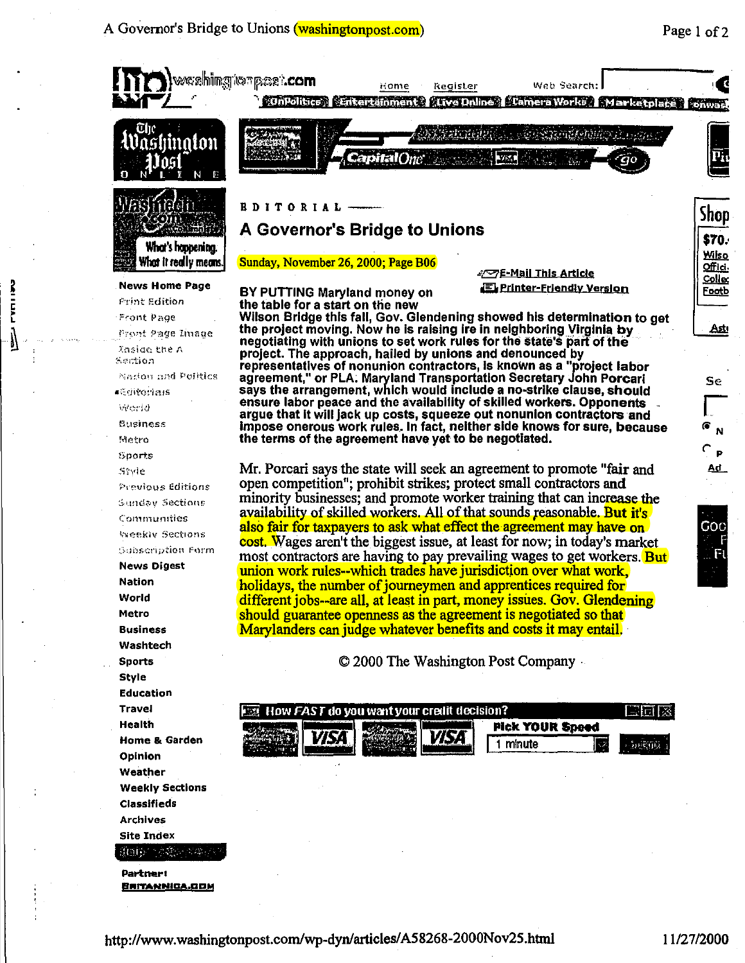A Governor's Bridge to Unions (washingtonpost.com)



**Partner: BRITANNICA.COM** 

(ft)的 1 大陸公式の2

ドニロンレ

Ŋ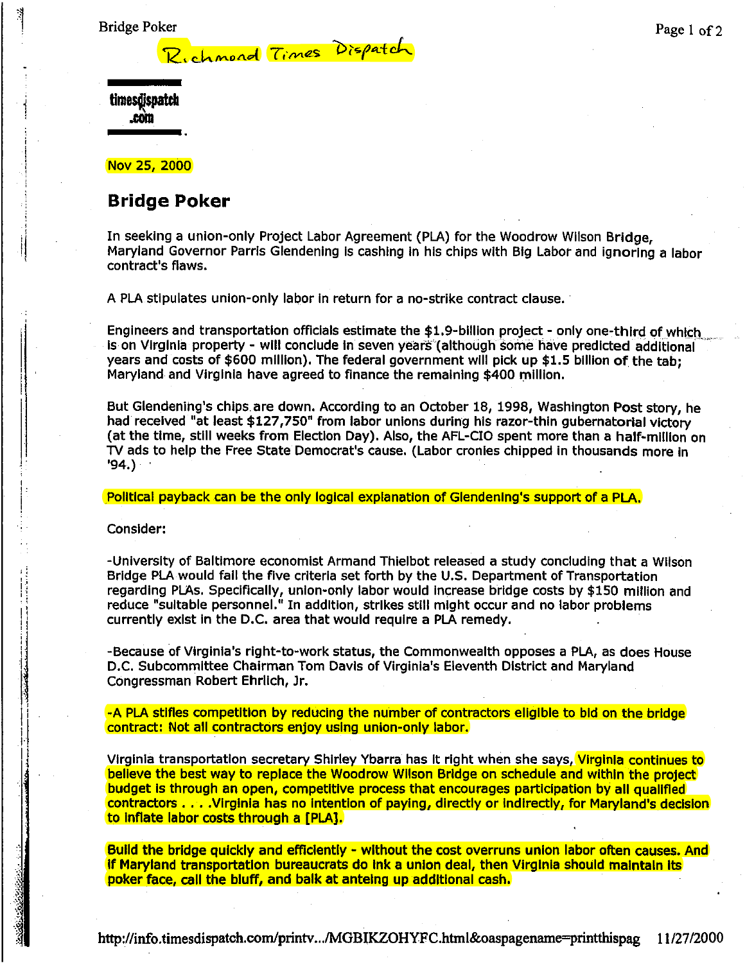Bridge Poker

Page 1 of 2

| timesdispatch<br>.com |
|-----------------------|
|                       |

Nov 25, 2000

' il '

.,

## **Bridge Poker**

In seeking a union-only Project Labor Agreement (PLA) for the Woodrow Wilson Bridge, Maryland Governor Parris Glendening is cashing in his chips with Big Labor and ignoring a labor contract's flaws.

A PLA stipulates union-only labor In return for a no-strike contract clause. ·

Richmond *Times* Dispatch

Engineers and transportation officials estimate the \$1.9-bllllon project- only one-third of which Is on Virginia property - will conclude in seven years (although some have predicted additional years and costs of \$600 million). The federal government will pick up \$1.5 billion of the tab; Maryland and Virginia have agreed to finance the remaining \$400 million.

But Glendening's chips are down. According to an October 18, 1998, Washington Post story, he had received "at least \$127,750" from labor unions during his razor-thin gubernatorial victory (at the time, still weeks from Election Day). Also, the AFL-CIO spent more than a half-million on TV ads to help the Free State Democrat's cause. (Labor cronies chipped In thousands more In '94.)

Political payback can be the only logical explanation of Glendening's support of a PLA.

#### Consider:

-University of Baltimore economist Armand Thlelbot released a study concluding that a Wilson Bridge PLAwould fall the five criteria set forth by the U.S. Department of Transportation regarding PLAs. Specifically, union-only labor would Increase bridge costs by \$150 million and reduce "suitable personnel." In addition, strikes still might occur and no labor problems currently exist in the D.C. area that would require a PLA remedy.

-Because of Virginia's right-to-work status, the Commonwealth opposes a PLA, as does House D.C. Subcommittee Chairman Tom Davis of Virginia's Eleventh District and Maryland Congressman Robert Ehrlich, Jr.

-A PLA stifles competition by reducing the number of contractors eligible to bid on the bridge contract: Not all contractors enjoy using union-only labor.

Virginia transportation secretary Shirley Ybarra has it right when she says, Virginia continues to believe the best way to replace the Woodrow Wilson Bridge on schedule and within the project budget is through an open, competitive process that encourages participation by all qualified contractors .... VIrginia has no Intention of paying, directly or indirectly, for Maryland's decision to inflate labor costs through a [PLA].

Build the bridge quickly and efficiently - without the cost overruns union labor often causes. And if Maryland transportation bureaucrats do Ink a union deal, then Virginia should maintain its poker face, call the bluff, and balk at anteing up additional cash.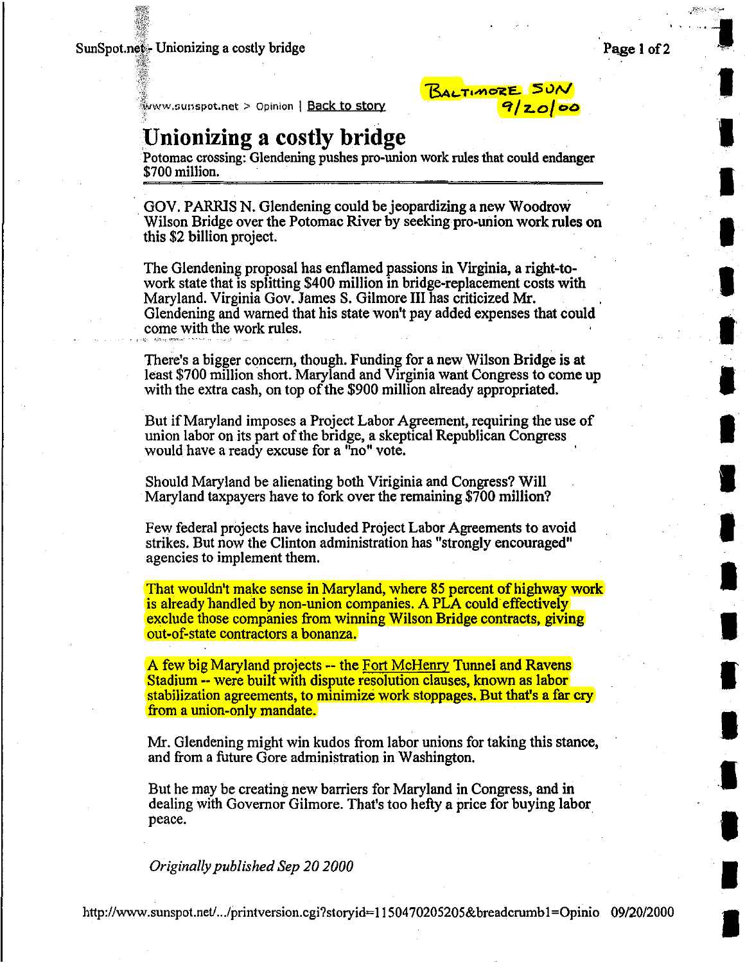### SunSpot.net Unionizing a costly bridge

 $\frac{1}{2}$ 

 $v_{\rm e}$  .

**I** 

I

I

I

I

I

I

**I** 

I

I

I

I

I

I

**.I** 

I

I

 $\frac{1}{2}$ *yww.sunspot.net > Opinion* | **Back to story** 

# **Unionizing a costly bridge**

Potomac crossing: Glendening pushes pro-union work rules that could endanger \$700 million.

BALTIMORE SUN

*"'1/z.o/* oD

GOV. PARRIS N. Glendening could be jeopardizing a new Woodrow Wilson Bridge over the Potomac River by seeking pro-union work rules on this \$2 billion project. ·

The Glendening proposal has enflamed passions in Virginia, a right-towork state that is splitting \$400 million in bridge-replacement costs with Maryland. Virginia Gov. James S. Gilmore III has criticized Mr. Glendening and warned that his state won't pay added expenses that could come with the work rules.

There's a bigger concern, though. Funding for a new Wilson Bridge is at least \$700 million short. Maryland and Virginia want Congress to come up with the extra cash, on top of the \$900 million already appropriated.

But if Maryland imposes a Project Labor Agreement, requiring the use of union labor on its part of the bridge, a skeptical Republican Congress would have a ready excuse for a "no" vote.

Should Maryland be alienating both Viriginia and Congress? Will Maryland taxpayers have to fork over the remaining \$700 million?

Few federal projects have included Project Labor Agreements to avoid strikes. But now the Clinton administration has "strongly encouraged" agencies to implement them.

That wouldn't make sense in Maryland, where 85 percent of highway work is already handled by non-union companies. A PLA could effectively exclude those companies from winning Wilson Bridge contracts, giving out-of-state contractors a bonanza.

A few big Maryland projects -- the Fort McHenry Tunnel and Ravens Stadium -- were built with dispute resolution clauses, known as labor stabilization agreements, to minimize work stoppages. But that's a far cry from a union-only mandate.

Mr. Glendening might win kudos from labor unions for taking this stance, and from a future Gore administration in Washington.

But he may be creating new barriers for Maryland in Congress, and in dealing with Governor Gilmore. That's too hefty a price for buying labor peace.

*Originally published Sep 20 2000*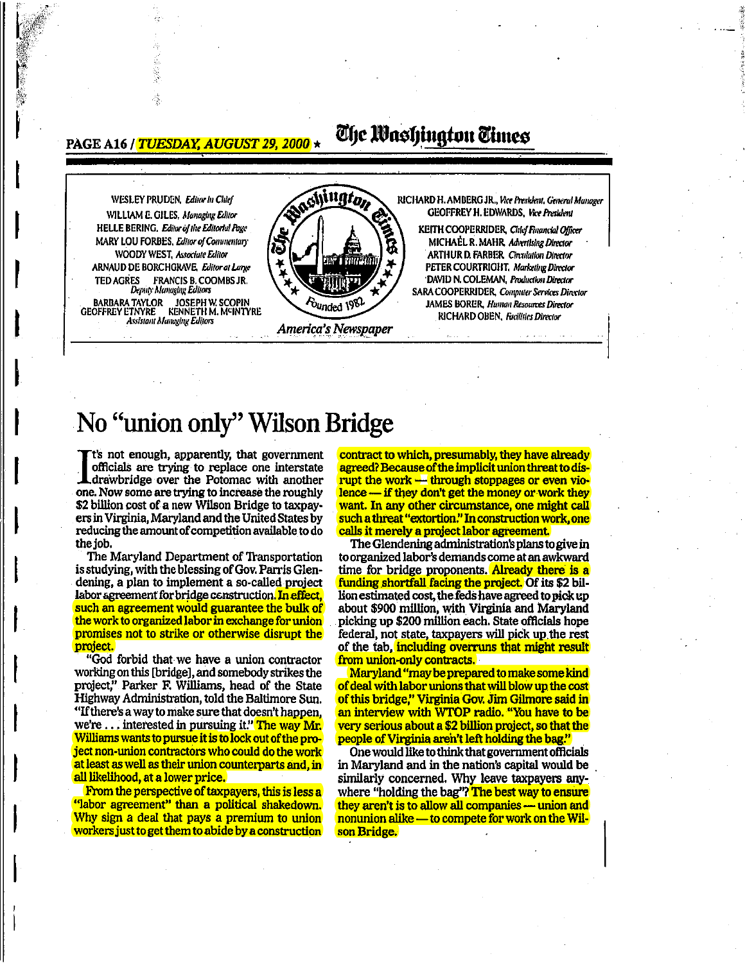**PAGE A16 / TUESDAY, AUGUST 29, 2000 \*** 

## The Washington Times



# No "union only" Wilson Bridge

It's not enough, apparently, that government officials are trying to replace one interstate drawbridge over the Potomac with another one. Now some are trying to increase the roughly \$2 billion cost of a new Wilson Bridge to taxpayers in Virginia. Maryland and the United States by reducing the amount of competition available to do the job.

The Maryland Department of Transportation is studying, with the blessing of Gov. Parris Glendening, a plan to implement a so-called project labor agreement for bridge construction. In effect, such an agreement would guarantee the bulk of the work to organized labor in exchange for union promises not to strike or otherwise disrupt the project.

"God forbid that we have a union contractor working on this [bridge], and somebody strikes the project," Parker F. Williams, head of the State Highway Administration, told the Baltimore Sun. "If there's a way to make sure that doesn't happen, we're ... interested in pursuing it." The way Mr. Williams wants to pursue it is to lock out of the project non-union contractors who could do the work at least as well as their union counterparts and, in all likelihood, at a lower price.

From the perspective of taxpayers, this is less a "labor agreement" than a political shakedown. Why sign a deal that pays a premium to union workers just to get them to abide by a construction

contract to which, presumably, they have already agreed? Because of the implicit union threat to disrupt the work -- through stoppages or even violence - if they don't get the money or work they want. In any other circumstance, one might call such a threat "extortion." In construction work, one calls it merely a project labor agreement.

The Glendening administration's plans to give in to organized labor's demands come at an awkward time for bridge proponents. Already there is a funding shortfall facing the project. Of its \$2 billion estimated cost, the feds have agreed to pick up about \$900 million, with Virginia and Maryland picking up \$200 million each. State officials hope federal, not state, taxpayers will pick up the rest of the tab, including overruns that might result from union-only contracts.

Maryland "may be prepared to make some kind of deal with labor unions that will blow up the cost of this bridge," Virginia Gov. Jim Gilmore said in an interview with WTOP radio. "You have to be very serious about a \$2 billion project, so that the people of Virginia aren't left holding the bag.

One would like to think that government officials in Maryland and in the nation's capital would be similarly concerned. Why leave taxpayers anywhere "holding the bag"? The best way to ensure they aren't is to allow all companies — union and nonunion alike - to compete for work on the Wilson Bridge.